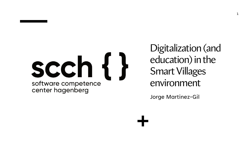

Digitalization (and education) in the Smart Villages environment

Jorge Martinez-Gil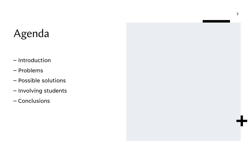## Agenda

- Introduction
- Problems
- Possible solutions
- Involving students
- Conclusions



2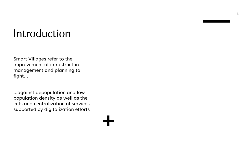#### Introduction

Smart Villages refer to the improvement of infrastructure management and planning to fight...

...against depopulation and low population density as well as the cuts and centralization of services supported by digitalization efforts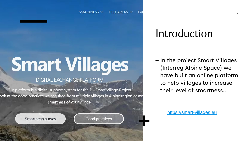# **Smart Villages**

#### **DIGITAL EXCHANGE PLATFORM**

Our platform is a digital support system for the EU Smart Village Project. ook at the good practices we acquired from multiple villages in Alpine region or ass smartness of your village.

Smartness survey

#### Good practices

#### Introduction

– In the project Smart Villages (Interreg Alpine Space) we have built an online platform to help villages to increase their level of smartness...

[https://smart-villages.eu](https://smart-villages.eu/)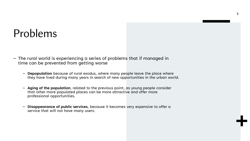#### Problems

- The rural world is experiencing a series of problems that if managed in time can be prevented from getting worse
	- **Depopulation** because of rural exodus, where many people leave the place where they have lived during many years in search of new opportunities in the urban world.
	- **Aging of the population**, related to the previous point, as young people consider that other more populated places can be more attractive and offer more professional opportunities.
	- **Disappearance of public services**, because it becomes very expensive to offer a service that will not have many users.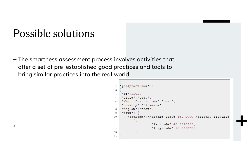### Possible solutions

– The smartness assessment process involves activities that offer a set of pre-established good practices and tools to bring similar practices into the real world.

```
"goodpractices": [
\overline{2}\overline{3}"id":2202,
\overline{4}"title":"test",
    "short description":"test",
6
    "country": "Slovenia",
    "region": "test",
    "town":
\mathbf{Q}"address": "Koroska cesta 46, 2000 Maribor, Slovenia
10
             \mathbf{H}"latitude": 46.5590355,
11
                        "longitude": 15.6380735
12
13
14
```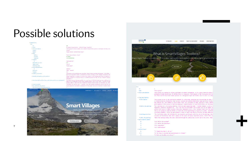#### Possible solutions

poodpractices:  $= 0$  $id:$  $v$  title: w short description: country: region:  $#$  train: addre latitude longitude v category: applicable in rural: region level: affecting\_scale: w affecting population  $0:$ timescale: language: w evidence of success:

\* detailed\_information\_on\_the\_practice:

# short\_description\_of\_territory\_where\_best\_practices\_are\_implemented:

v resources\_needed: w key conditions for success



"On demand transportation - Collectif Bouge Tranquille"

"Royans Vercors (Central French Alps)"

"Saint-Jean-en-Royans, France" 45.016847

"france"

5.291574999999966

"smart\_mobility"

"local\_region"

"2010 - ongoing"

investments."

"elderly"

true "nuts\_1"

Ham<sup>e</sup>

"That group of citizens handles an on demand transportation system in the Royans territory (Fra

"Stop points and carsharing areas installed. Royans Express working and growing. \r\nIn 2018, 3

loop to be launched in order to extend the territory coverage, to the villages situated in remo

"Bouge Tranquille is a group of citizens that allowed a real thinking and actions on mobility o regular transport on classical trips or on demand transport at home. It also created 4 carpooli

"The Royans-Vercors Intermunicipality is a rural area of 497 km2 located one hour south-west of famous for its landscapes and its local farming products such as nuts fruits. Territory is agei actually address: small diversity of mobility solutions based on major car-dependant use, lack

"Investment for electric cars : 1 minibus, 1car with european funding\r\n1 person from the soci

"Local population involvement \r\nDuration of the project and pilote structure to bandle fundin

#### **Interreg EB ENGLISH ~** HOME CONTACT SMART SELF-ASSESSMENT TOOLBOX GOOD PRACTICES  $-40$ What is SmartVillages Toolbox? llages Digital Toobox is a collection of innovative approaches, participative methods and good practices that he rural challenges. **READ MORE**

| a:                                        |                                                                                                                                                                                                                                                                                                                                                                                                                                                                                                                                          |
|-------------------------------------------|------------------------------------------------------------------------------------------------------------------------------------------------------------------------------------------------------------------------------------------------------------------------------------------------------------------------------------------------------------------------------------------------------------------------------------------------------------------------------------------------------------------------------------------|
| id:                                       | 1                                                                                                                                                                                                                                                                                                                                                                                                                                                                                                                                        |
| name:                                     | "Focus group"                                                                                                                                                                                                                                                                                                                                                                                                                                                                                                                            |
| $\bullet$ short description:              | "Focus group is a method to collect qualitative in-depth information. It is a group interview where t<br>phenomena already identified, its difficulties or viewpoints. Participants of the focus group are sel<br>are often used to learn more about opinions on a designated topic but further also to serve as a star                                                                                                                                                                                                                  |
| $\blacktriangleright$ long description:   |                                                                                                                                                                                                                                                                                                                                                                                                                                                                                                                                          |
| $\overline{\phantom{a}}$ description:     | "Focus group is one of the qualitative methods for collecting, analysing and interpreting the data. I<br>is characterised by discussions that uncover concerns and opinions held about some particular issues.<br>but indicate why. This method is used in many cases: for collection of data, analysis of data, detect<br>participation in the process of decision making or identification of local difficulties are increased                                                                                                         |
| $\blacksquare$ before the meeting:        | "For carrying out a focus group meeting, first we need organising team: - Content planner is also a f<br>timetable, technical equipment etc. \r\n- The role of facilitator can be taken over by any member of<br>written with voice or video recorders (describes atmosphere etc.). \r\n- Analyser takes over the last<br>time we are going to need and whether we need some financing/funding to organize he events. \r\nThink<br>recording equipment. Invite the participants (e-mail or mail) and shortly describe the main objective |
| $\blacktriangledown$ meeting execution:   | "The facilitator makes the introduction and acquaints participants with the aim of the meeting, intro<br>recorder and facilitator make short summary of the event and expose important points. \r\nIf there an                                                                                                                                                                                                                                                                                                                           |
| $\bullet$ after the meeting:              | "After the meeting analyse the date collected through the audio/video records and in the notes. Make                                                                                                                                                                                                                                                                                                                                                                                                                                     |
| $\blacktriangledown$ participation phase: |                                                                                                                                                                                                                                                                                                                                                                                                                                                                                                                                          |
| $\theta$ :                                | "1.1. Define the problem"                                                                                                                                                                                                                                                                                                                                                                                                                                                                                                                |
| 1:                                        | "1.2. Define the objective"                                                                                                                                                                                                                                                                                                                                                                                                                                                                                                              |
| 2:                                        | "4.1. Evaluation"                                                                                                                                                                                                                                                                                                                                                                                                                                                                                                                        |
| 3:                                        | "4.2. Continuation"                                                                                                                                                                                                                                                                                                                                                                                                                                                                                                                      |
| method steps:                             |                                                                                                                                                                                                                                                                                                                                                                                                                                                                                                                                          |
| $\theta$ :                                | "1. Organizing team is set up."                                                                                                                                                                                                                                                                                                                                                                                                                                                                                                          |
| $-1$ :                                    | "2. The topic is decided and questionnaire is formed."                                                                                                                                                                                                                                                                                                                                                                                                                                                                                   |
| 2:                                        | "3. Date and location are chosen."                                                                                                                                                                                                                                                                                                                                                                                                                                                                                                       |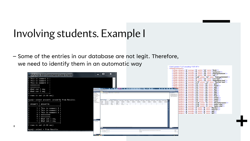### Involving students. Example I

8

– Some of the entries in our database are not legit. Therefore, we need to identify them in an automatic way <?xml version="1.0" encoding="UTF-8"?>

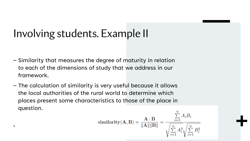### Involving students. Example II

- Similarity that measures the degree of maturity in relation to each of the dimensions of study that we address in our framework.
- The calculation of similarity is very useful because it allows the local authorities of the rural world to determine which places present some characteristics to those of the place in question.

$$
\textbf{similarity}(\mathbf{A}, \mathbf{B}) = \frac{\mathbf{A} \cdot \mathbf{B}}{\|\mathbf{A}\| \|\mathbf{B}\|} = \frac{\sum_{i=1}^{n} A_i B_i}{\sqrt{\sum_{i=1}^{n} A_i^2} \sqrt{\sum_{i=1}^{n} B_i^2}}
$$

9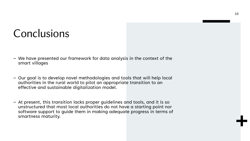#### **Conclusions**

- We have presented our framework for data analysis in the context of the smart villages
- Our goal is to develop novel methodologies and tools that will help local authorities in the rural world to pilot an appropriate transition to an effective and sustainable digitalization model.
- At present, this transition lacks proper guidelines and tools, and it is so unstructured that most local authorities do not have a starting point nor software support to guide them in making adequate progress in terms of smartness maturity.